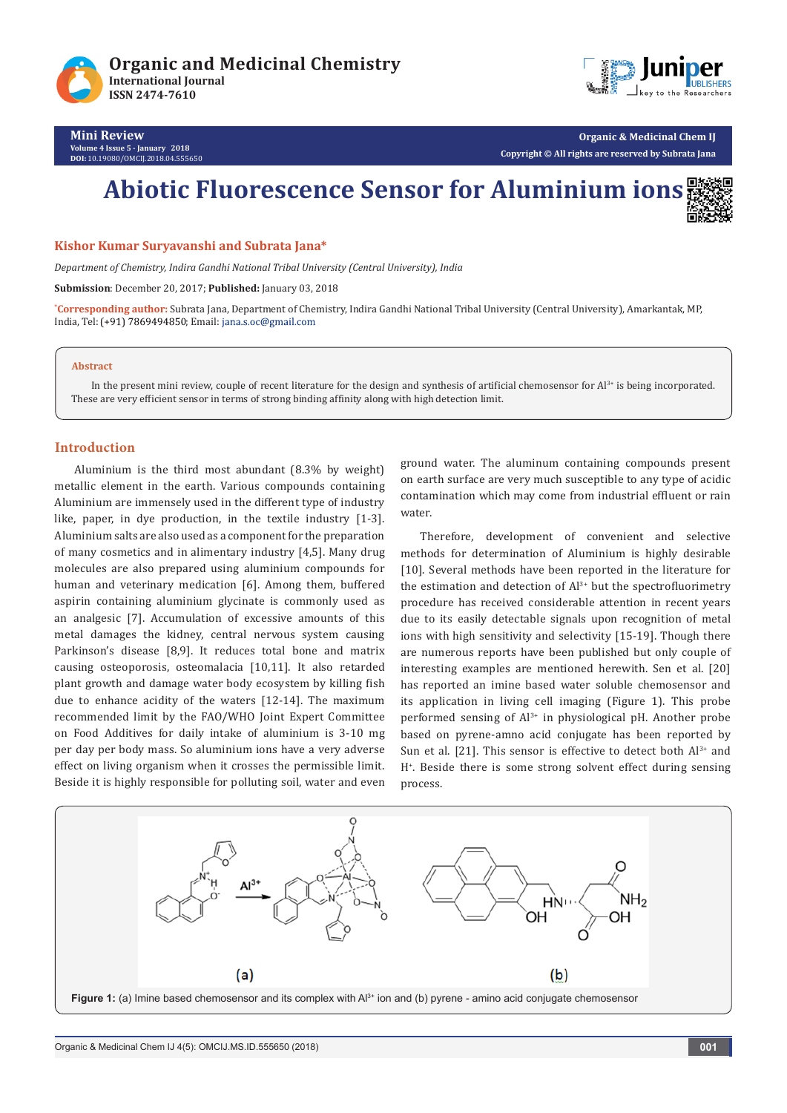



**Mini Review Volume 4 Issue 5 - January 2018 DOI:** [10.19080/OMCIJ.2018.04.555650](http://dx.doi.org/10.19080/omcij.2018.04.555650)

# **Abiotic Fluorescence Sensor for Aluminium ions**

#### **Kishor Kumar Suryavanshi and Subrata Jana\***

*Department of Chemistry, Indira Gandhi National Tribal University (Central University), India*

**Submission**: December 20, 2017; **Published:** January 03, 2018

**\* Corresponding author:** Subrata Jana, Department of Chemistry, Indira Gandhi National Tribal University (Central University), Amarkantak, MP, India, Tel: (+91) 7869494850; Email: jana.s.oc@gmail.com

#### **Abstract**

In the present mini review, couple of recent literature for the design and synthesis of artificial chemosensor for  $Al<sup>3+</sup>$  is being incorporated. These are very efficient sensor in terms of strong binding affinity along with high detection limit.

#### **Introduction**

Aluminium is the third most abundant (8.3% by weight) metallic element in the earth. Various compounds containing Aluminium are immensely used in the different type of industry like, paper, in dye production, in the textile industry [1-3]. Aluminium salts are also used as a component for the preparation of many cosmetics and in alimentary industry [4,5]. Many drug molecules are also prepared using aluminium compounds for human and veterinary medication [6]. Among them, buffered aspirin containing aluminium glycinate is commonly used as an analgesic [7]. Accumulation of excessive amounts of this metal damages the kidney, central nervous system causing Parkinson's disease [8,9]. It reduces total bone and matrix causing osteoporosis, osteomalacia [10,11]. It also retarded plant growth and damage water body ecosystem by killing fish due to enhance acidity of the waters [12-14]. The maximum recommended limit by the FAO/WHO Joint Expert Committee on Food Additives for daily intake of aluminium is 3-10 mg per day per body mass. So aluminium ions have a very adverse effect on living organism when it crosses the permissible limit. Beside it is highly responsible for polluting soil, water and even

ground water. The aluminum containing compounds present on earth surface are very much susceptible to any type of acidic contamination which may come from industrial effluent or rain water.

Therefore, development of convenient and selective methods for determination of Aluminium is highly desirable [10]. Several methods have been reported in the literature for the estimation and detection of  $Al^{3+}$  but the spectrofluorimetry procedure has received considerable attention in recent years due to its easily detectable signals upon recognition of metal ions with high sensitivity and selectivity [15-19]. Though there are numerous reports have been published but only couple of interesting examples are mentioned herewith. Sen et al. [20] has reported an imine based water soluble chemosensor and its application in living cell imaging (Figure 1). This probe performed sensing of Al<sup>3+</sup> in physiological pH. Another probe based on pyrene-amno acid conjugate has been reported by Sun et al. [21]. This sensor is effective to detect both  $Al^{3+}$  and H+ . Beside there is some strong solvent effect during sensing process.

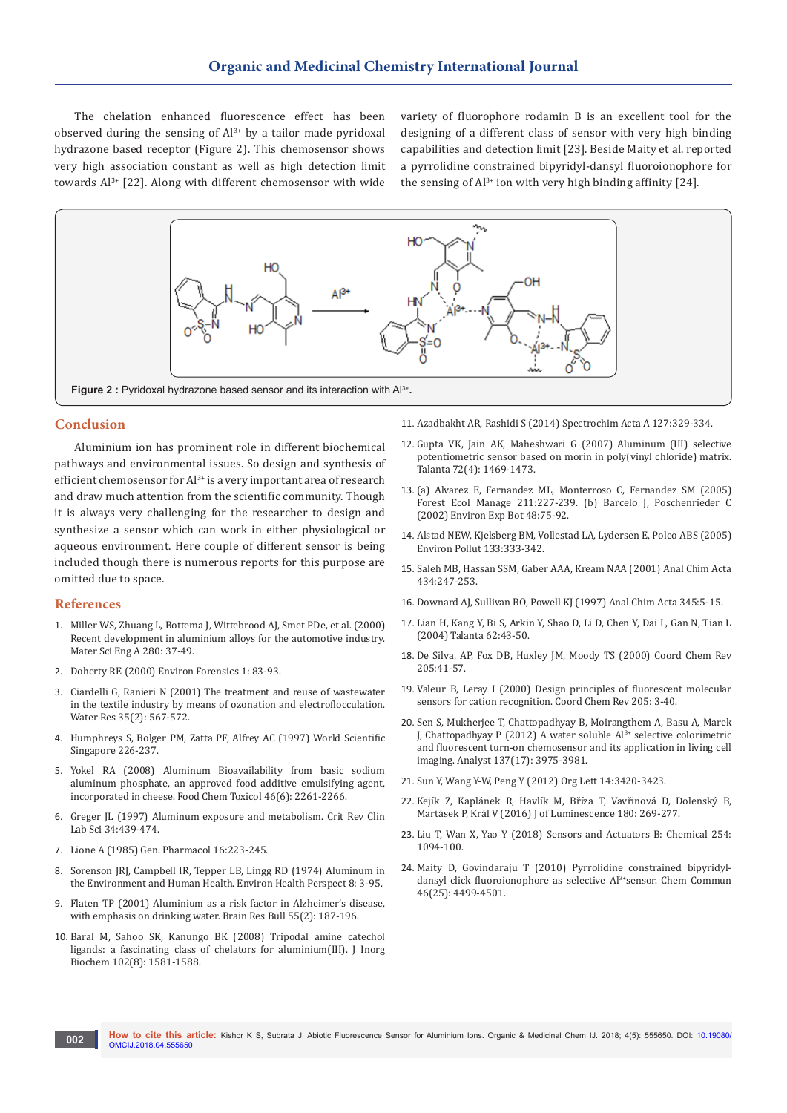The chelation enhanced fluorescence effect has been observed during the sensing of  $Al^{3+}$  by a tailor made pyridoxal hydrazone based receptor (Figure 2). This chemosensor shows very high association constant as well as high detection limit towards Al3+ [22]. Along with different chemosensor with wide variety of fluorophore rodamin B is an excellent tool for the designing of a different class of sensor with very high binding capabilities and detection limit [23]. Beside Maity et al. reported a pyrrolidine constrained bipyridyl-dansyl fluoroionophore for the sensing of  $Al^{3+}$  ion with very high binding affinity [24].



### **Conclusion**

Aluminium ion has prominent role in different biochemical pathways and environmental issues. So design and synthesis of efficient chemosensor for Al<sup>3+</sup> is a very important area of research and draw much attention from the scientific community. Though it is always very challenging for the researcher to design and synthesize a sensor which can work in either physiological or aqueous environment. Here couple of different sensor is being included though there is numerous reports for this purpose are omitted due to space.

#### **References**

- 1. [Miller WS, Zhuang L, Bottema J, Wittebrood AJ, Smet PDe, et al. \(2000\)](http://www.sciencedirect.com/science/article/pii/S092150939900653X)  [Recent development in aluminium alloys for the automotive industry.](http://www.sciencedirect.com/science/article/pii/S092150939900653X)  [Mater Sci Eng A 280: 37-49.](http://www.sciencedirect.com/science/article/pii/S092150939900653X)
- 2. Doherty RE (2000) Environ Forensics 1: 83-93.
- 3. [Ciardelli G, Ranieri N \(2001\) The treatment and reuse of wastewater](http://europepmc.org/abstract/med/11229013)  [in the textile industry by means of ozonation and electroflocculation.](http://europepmc.org/abstract/med/11229013)  [Water Res 35\(2\): 567-572.](http://europepmc.org/abstract/med/11229013)
- 4. Humphreys S, Bolger PM, Zatta PF, Alfrey AC (1997) World Scientific Singapore 226-237.
- 5. [Yokel RA \(2008\) Aluminum Bioavailability from basic sodium](https://www.ncbi.nlm.nih.gov/pubmed/18436363)  [aluminum phosphate, an approved food additive emulsifying agent,](https://www.ncbi.nlm.nih.gov/pubmed/18436363)  [incorporated in cheese. Food Chem Toxicol 46\(6\): 2261-2266.](https://www.ncbi.nlm.nih.gov/pubmed/18436363)
- 6. [Greger JL \(1997\) Aluminum exposure and metabolism. Crit Rev Clin](https://www.ncbi.nlm.nih.gov/pubmed/9405895)  [Lab Sci 34:439-474.](https://www.ncbi.nlm.nih.gov/pubmed/9405895)
- 7. Lione A (1985) Gen. Pharmacol 16:223-245.
- 8. [Sorenson JRJ, Campbell IR, Tepper LB, Lingg RD \(1974\) Aluminum in](https://www.ncbi.nlm.nih.gov/pmc/articles/PMC1474938/)  [the Environment and Human Health. Environ Health Perspect 8: 3-95.](https://www.ncbi.nlm.nih.gov/pmc/articles/PMC1474938/)
- 9. [Flaten TP \(2001\) Aluminium as a risk factor in Alzheimer's disease,](https://www.ncbi.nlm.nih.gov/pubmed/11470314)  [with emphasis on drinking water. Brain Res Bull 55\(2\): 187-196.](https://www.ncbi.nlm.nih.gov/pubmed/11470314)
- 10. [Baral M, Sahoo SK, Kanungo BK \(2008\) Tripodal amine catechol](http://europepmc.org/abstract/med/18472165)  [ligands: a fascinating class of chelators for aluminium\(III\). J Inorg](http://europepmc.org/abstract/med/18472165)  [Biochem 102\(8\): 1581-1588.](http://europepmc.org/abstract/med/18472165)
- 11. Azadbakht AR, Rashidi S (2014) Spectrochim Acta A 127:329-334.
- 12. [Gupta VK, Jain AK, Maheshwari G \(2007\) Aluminum \(III\) selective](https://www.ncbi.nlm.nih.gov/pubmed/19071785)  [potentiometric sensor based on morin in poly\(vinyl chloride\) matrix.](https://www.ncbi.nlm.nih.gov/pubmed/19071785)  [Talanta 72\(4\): 1469-1473.](https://www.ncbi.nlm.nih.gov/pubmed/19071785)
- 13. (a) Alvarez E, Fernandez ML, Monterroso C, Fernandez SM (2005) Forest Ecol Manage 211:227-239. (b) Barcelo J, Poschenrieder C (2002) Environ Exp Bot 48:75-92.
- 14. Alstad NEW, Kjelsberg BM, Vollestad LA, Lydersen E, Poleo ABS (2005) Environ Pollut 133:333-342.
- 15. Saleh MB, Hassan SSM, Gaber AAA, Kream NAA (2001) Anal Chim Acta 434:247-253.
- 16. Downard AJ, Sullivan BO, Powell KJ (1997) Anal Chim Acta 345:5-15.
- 17. Lian H, Kang Y, Bi S, Arkin Y, Shao D, Li D, Chen Y, Dai L, Gan N, Tian L (2004) Talanta 62:43-50.
- 18. De Silva, AP, Fox DB, Huxley JM, Moody TS (2000) Coord Chem Rev 205:41-57.
- 19. [Valeur B, Leray I \(2000\) Design principles of fluorescent molecular](http://www.sciencedirect.com/science/article/pii/S0010854500002460?via%3Dihub)  [sensors for cation recognition. Coord Chem Rev 205: 3-40.](http://www.sciencedirect.com/science/article/pii/S0010854500002460?via%3Dihub)
- 20. [Sen S, Mukherjee T, Chattopadhyay B, Moirangthem A, Basu A, Marek](https://www.ncbi.nlm.nih.gov/pubmed/22785321)  J, Chattopadhyay P (2012) A water soluble  $Al^{3+}$  selective colorimetric [and fluorescent turn-on chemosensor and its application in living cell](https://www.ncbi.nlm.nih.gov/pubmed/22785321)  imaging. Analyst [137\(17\): 3975-3981.](https://www.ncbi.nlm.nih.gov/pubmed/22785321)
- 21. Sun Y, Wang Y-W, Peng Y (2012) Org Lett 14:3420-3423.
- 22. Kejík Z, Kaplánek R, Havlík M, Bříza T, Vavřinová D, Dolenský B, Martásek P, Král V (2016) J of Luminescence 180: 269-277.
- 23. Liu T, Wan X, Yao Y (2018) Sensors and Actuators B: Chemical 254: 1094-100.
- 24. Maity D, Govindaraju T (2010) Pyrrolidine constrained bipyridyldansyl click fluoroionophore as selective Al<sup>3+</sup>sensor. Chem Commun 46(25): 4499-4501.